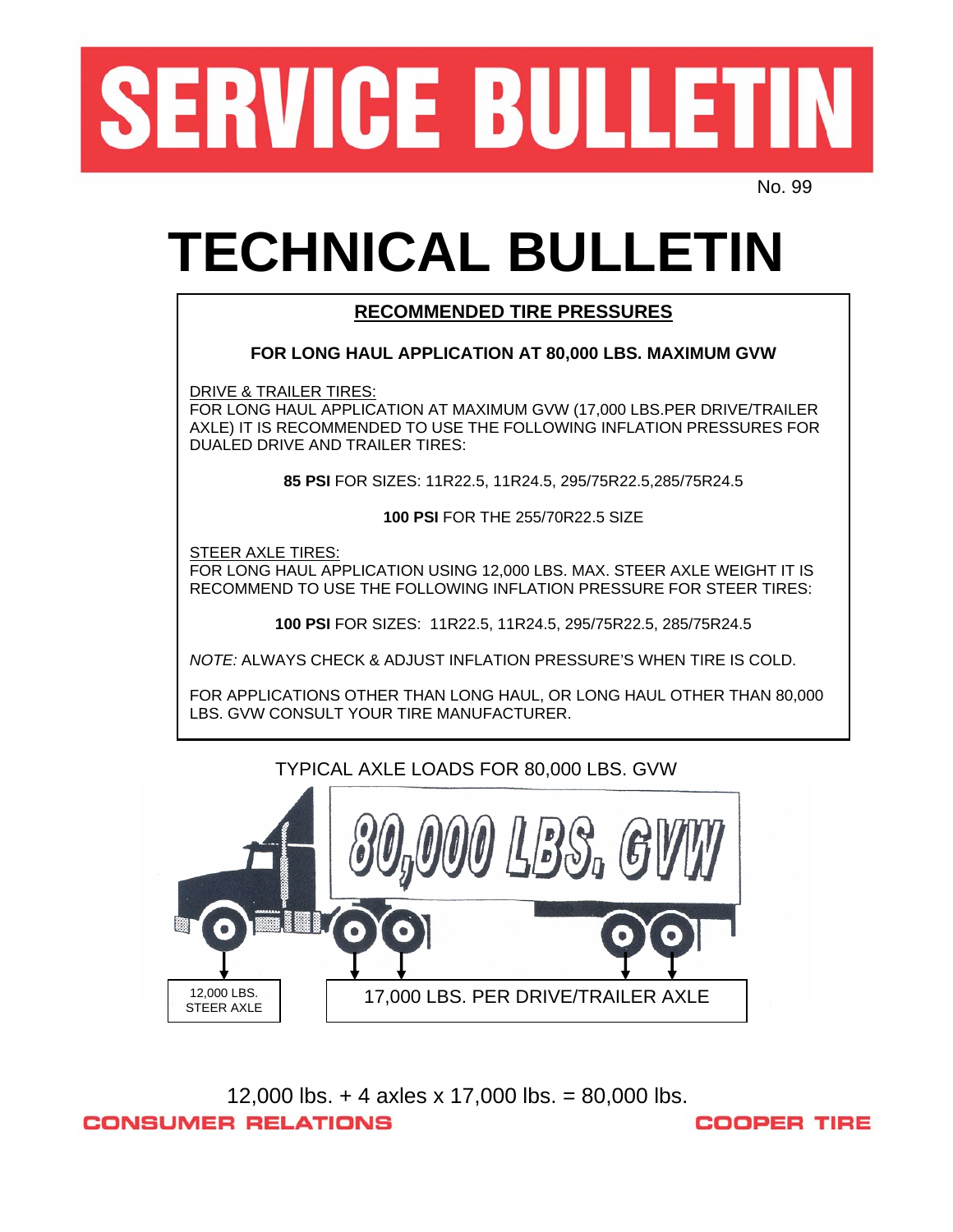

No. 99

## **TECHNICAL BULLETIN**

#### **RECOMMENDED TIRE PRESSURES RECOMMENDED TIRE PRESSURES**

#### **FOR LONG HAUL APPLICATION AT 80,000 LBS. MAXIMUM GVW FOR LONG HAUL APPLICATION AT 80,000 LBS. MAXIMUM GVW**

DRIVE & TRAILER TIRES:

TOR LONG HAUL APPLICATION AT MAXIMUM GVW (17,000 LBS.PER DRIVE/TRAILER AXLE) IT IS RECOMMENDED TO USE THE FOLLOWING INFLATION PRESSURES FOR DUALED DRIVE AND TRAILER TIRES: DUALED DRIVE AND TRAILER TIRES:

> **85 PSI** FOR SIZES: 11R22.5, 11R2 .5, 295/75R22.5,285/75R24.5 4 **85 PSI** FOR SIZES: 11R22.5, 11R24.5, 295/75R22.5,285/75R24.5

> > **100 PSI** FOR THE 255/70R22.5 SIZE

**FOR LONG HAUL APPLICATION USING 12,000 LBS. MAX. STEER AXLE WEIGHT IT IS** RECOMMEND TO USE THE FOLLOWING INFLATION PRESSURE FOR STEER TIRES: RECOMMEND TO USE THE FOLLOWING INFLATION PRESSURE FOR STEER TIRES: STEER AXLE TIRES:

> **100 PSI** FOR SIZES: 11R22.5, 11R24.5, 295/75R22/5, 285/75R24.5 **100 PSI** FOR SIZES: 11R22.5, 11R24.5, 295/75R22.5, 285/75R24.5

*NOTE:* ALWAYS CHECK & ADJUST INFLATION PRESSURE'S WHEN TIRE IS COLD. *NOTE:* ALWAYS CHECK & ADJUST INFLATION PRESSURE'S WHEN TIRE IS COLD.

LBS. GVW CONSULT YOUR TIRE MANUFACTURER. LBS. GVW CONSULT YOUR TIRE MANUFACTURER. FOR APPLICATIONS OTHER THAN LONG HAUL, OR LONG HAUL OTHER THAN 80,000

# TYPICAL AXLE LOADS FOR 80,000 LBS. GVW  $L_{DQ_0}$ 12,000 LBS. 17,000 LBS. PER DRIVE/TRAILER AXLE

12,000 lbs. + 4 axles x 17,000 lbs. = 80,000 lbs. **CONSUMER RELATIONS COOPER TIRE**